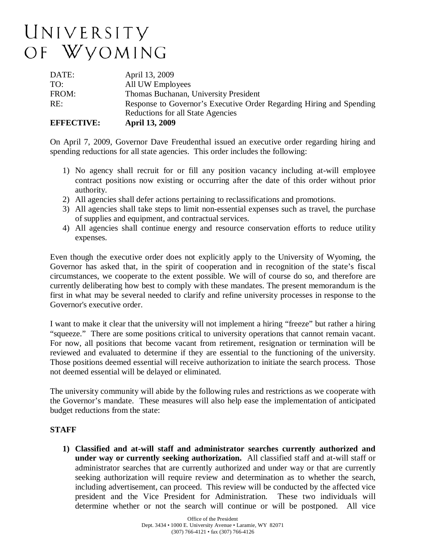# UNIVERSITY OF WYOMING

| Reductions for all State Agencies                                           |  |
|-----------------------------------------------------------------------------|--|
| RE:<br>Response to Governor's Executive Order Regarding Hiring and Spending |  |
| FROM:<br>Thomas Buchanan, University President                              |  |
| All UW Employees<br>TO:                                                     |  |
| DATE:<br>April 13, 2009                                                     |  |

On April 7, 2009, Governor Dave Freudenthal issued an executive order regarding hiring and spending reductions for all state agencies. This order includes the following:

- 1) No agency shall recruit for or fill any position vacancy including at-will employee contract positions now existing or occurring after the date of this order without prior authority.
- 2) All agencies shall defer actions pertaining to reclassifications and promotions.
- 3) All agencies shall take steps to limit non-essential expenses such as travel, the purchase of supplies and equipment, and contractual services.
- 4) All agencies shall continue energy and resource conservation efforts to reduce utility expenses.

Even though the executive order does not explicitly apply to the University of Wyoming, the Governor has asked that, in the spirit of cooperation and in recognition of the state's fiscal circumstances, we cooperate to the extent possible. We will of course do so, and therefore are currently deliberating how best to comply with these mandates. The present memorandum is the first in what may be several needed to clarify and refine university processes in response to the Governor's executive order.

I want to make it clear that the university will not implement a hiring "freeze" but rather a hiring "squeeze." There are some positions critical to university operations that cannot remain vacant. For now, all positions that become vacant from retirement, resignation or termination will be reviewed and evaluated to determine if they are essential to the functioning of the university. Those positions deemed essential will receive authorization to initiate the search process. Those not deemed essential will be delayed or eliminated.

The university community will abide by the following rules and restrictions as we cooperate with the Governor's mandate. These measures will also help ease the implementation of anticipated budget reductions from the state:

### **STAFF**

**1) Classified and at-will staff and administrator searches currently authorized and under way or currently seeking authorization.** All classified staff and at-will staff or administrator searches that are currently authorized and under way or that are currently seeking authorization will require review and determination as to whether the search, including advertisement, can proceed. This review will be conducted by the affected vice president and the Vice President for Administration. These two individuals will determine whether or not the search will continue or will be postponed. All vice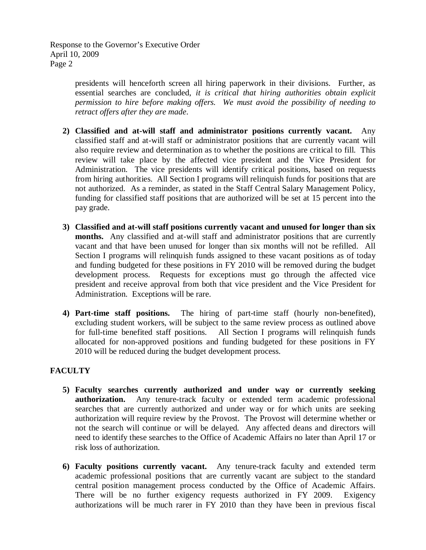Response to the Governor's Executive Order April 10, 2009 Page 2

> presidents will henceforth screen all hiring paperwork in their divisions. Further, as essential searches are concluded, *it is critical that hiring authorities obtain explicit permission to hire before making offers. We must avoid the possibility of needing to retract offers after they are made*.

- **2) Classified and at-will staff and administrator positions currently vacant.** Any classified staff and at-will staff or administrator positions that are currently vacant will also require review and determination as to whether the positions are critical to fill. This review will take place by the affected vice president and the Vice President for Administration. The vice presidents will identify critical positions, based on requests from hiring authorities. All Section I programs will relinquish funds for positions that are not authorized. As a reminder, as stated in the Staff Central Salary Management Policy, funding for classified staff positions that are authorized will be set at 15 percent into the pay grade.
- **3) Classified and at-will staff positions currently vacant and unused for longer than six months.** Any classified and at-will staff and administrator positions that are currently vacant and that have been unused for longer than six months will not be refilled. All Section I programs will relinquish funds assigned to these vacant positions as of today and funding budgeted for these positions in FY 2010 will be removed during the budget development process. Requests for exceptions must go through the affected vice president and receive approval from both that vice president and the Vice President for Administration. Exceptions will be rare.
- **4) Part-time staff positions.** The hiring of part-time staff (hourly non-benefited), excluding student workers, will be subject to the same review process as outlined above for full-time benefited staff positions. All Section I programs will relinquish funds allocated for non-approved positions and funding budgeted for these positions in FY 2010 will be reduced during the budget development process.

## **FACULTY**

- **5) Faculty searches currently authorized and under way or currently seeking authorization.** Any tenure-track faculty or extended term academic professional searches that are currently authorized and under way or for which units are seeking authorization will require review by the Provost. The Provost will determine whether or not the search will continue or will be delayed. Any affected deans and directors will need to identify these searches to the Office of Academic Affairs no later than April 17 or risk loss of authorization.
- **6) Faculty positions currently vacant.** Any tenure-track faculty and extended term academic professional positions that are currently vacant are subject to the standard central position management process conducted by the Office of Academic Affairs. There will be no further exigency requests authorized in FY 2009. Exigency authorizations will be much rarer in FY 2010 than they have been in previous fiscal